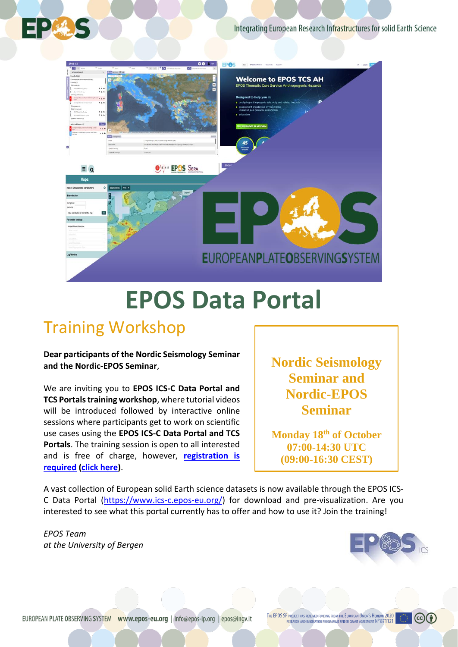Integrating European Research Infrastructures for solid Earth Science



## **EPOS Data Portal**

## Training Workshop

E :

**Dear participants of the Nordic Seismology Seminar and the Nordic-EPOS Seminar**,

We are inviting you to **EPOS ICS-C Data Portal and TCS Portals training workshop**, where tutorial videos will be introduced followed by interactive online sessions where participants get to work on scientific use cases using the **EPOS ICS-C Data Portal and TCS Portals**. The training session is open to all interested and is free of charge, however, **registration is [required](https://skjemaker.app.uib.no/view.php?id=11349253) [\(click here\)](https://skjemaker.app.uib.no/view.php?id=11349253)**.

**Nordic Seismology Seminar and Nordic-EPOS Seminar**

**Monday 18th of October 07:00-14:30 UTC [\(09:00-16:30 CEST\)](https://skjemaker.app.uib.no/view.php?id=11349253)**

A vast collection of European solid Earth science datasets is now available through the EPOS ICS-C Data Portal [\(https://www.ics-c.epos-eu.org/\)](https://www.ics-c.epos-eu.org/) for download and pre-visualization. Are you interested to see what this portal currently has to offer and how to use it? Join the training!

*EPOS Team at the University of Bergen*



 $(c)$  $(i)$ 

som helst plassering.

Når du er klar til å legge til